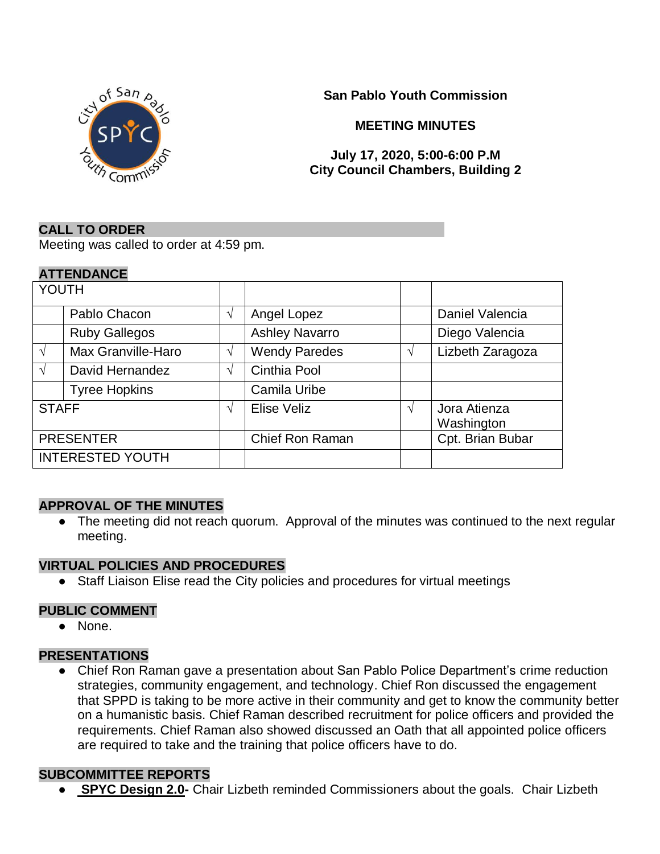

**San Pablo Youth Commission**

**MEETING MINUTES**

#### **July 17, 2020, 5:00-6:00 P.M City Council Chambers, Building 2**

#### **CALL TO ORDER**

Meeting was called to order at 4:59 pm.

#### **ATTENDANCE**

| YOUTH                   |                      |            |                        |               |                            |
|-------------------------|----------------------|------------|------------------------|---------------|----------------------------|
|                         | Pablo Chacon         | $\sqrt{}$  | Angel Lopez            |               | Daniel Valencia            |
|                         | <b>Ruby Gallegos</b> |            | <b>Ashley Navarro</b>  |               | Diego Valencia             |
| $\sqrt{ }$              | Max Granville-Haro   | $\sqrt{ }$ | <b>Wendy Paredes</b>   | $\mathcal{L}$ | Lizbeth Zaragoza           |
| $\sqrt{ }$              | David Hernandez      | $\sqrt{ }$ | Cinthia Pool           |               |                            |
|                         | <b>Tyree Hopkins</b> |            | Camila Uribe           |               |                            |
| <b>STAFF</b>            |                      | $\sqrt{ }$ | Elise Veliz            | N             | Jora Atienza<br>Washington |
| <b>PRESENTER</b>        |                      |            | <b>Chief Ron Raman</b> |               | Cpt. Brian Bubar           |
| <b>INTERESTED YOUTH</b> |                      |            |                        |               |                            |

#### **APPROVAL OF THE MINUTES**

• The meeting did not reach quorum. Approval of the minutes was continued to the next regular meeting.

#### **VIRTUAL POLICIES AND PROCEDURES**

● Staff Liaison Elise read the City policies and procedures for virtual meetings

#### **PUBLIC COMMENT**

● None.

#### **PRESENTATIONS**

● Chief Ron Raman gave a presentation about San Pablo Police Department's crime reduction strategies, community engagement, and technology. Chief Ron discussed the engagement that SPPD is taking to be more active in their community and get to know the community better on a humanistic basis. Chief Raman described recruitment for police officers and provided the requirements. Chief Raman also showed discussed an Oath that all appointed police officers are required to take and the training that police officers have to do.

#### **SUBCOMMITTEE REPORTS**

● **SPYC Design 2.0-** Chair Lizbeth reminded Commissioners about the goals. Chair Lizbeth